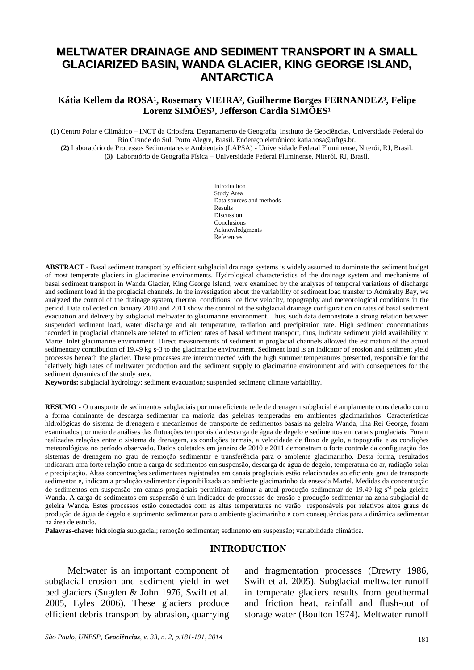# **MELTWATER DRAINAGE AND SEDIMENT TRANSPORT IN A SMALL GLACIARIZED BASIN, WANDA GLACIER, KING GEORGE ISLAND, ANTARCTICA**

#### Kátia Kellem da ROSA<sup>1</sup>, Rosemary VIEIRA<sup>2</sup>, Guilherme Borges FERNANDEZ<sup>3</sup>, Felipe Lorenz SIMÕES<sup>1</sup>, Jefferson Cardia SIMÕES<sup>1</sup>

**(1)** Centro Polar e Climático – INCT da Criosfera. Departamento de Geografia, Instituto de Geociências, Universidade Federal do Rio Grande do Sul, Porto Alegre, Brasil. Endereço eletrônico[: katia.rosa@ufrgs.br.](mailto:katia.rosa@ufrgs.br)

**(2)** Laboratório de Processos Sedimentares e Ambientais (LAPSA) - Universidade Federal Fluminense, Niterói, RJ, Brasil. **(3)** Laboratório de Geografia Física – Universidade Federal Fluminense, Niterói, RJ, Brasil.

> Introduction Study Area Data sources and methods Results Discussion Conclusions Acknowledgments References

**ABSTRACT -** Basal sediment transport by efficient subglacial drainage systems is widely assumed to dominate the sediment budget of most temperate glaciers in glacimarine environments. Hydrological characteristics of the drainage system and mechanisms of basal sediment transport in Wanda Glacier, King George Island, were examined by the analyses of temporal variations of discharge and sediment load in the proglacial channels. In the investigation about the variability of sediment load transfer to Admiralty Bay, we analyzed the control of the drainage system, thermal conditions, ice flow velocity, topography and meteorological conditions in the period. Data collected on January 2010 and 2011 show the control of the subglacial drainage configuration on rates of basal sediment evacuation and delivery by subglacial meltwater to glacimarine environment. Thus, such data demonstrate a strong relation between suspended sediment load, water discharge and air temperature, radiation and precipitation rate. High sediment concentrations recorded in proglacial channels are related to efficient rates of basal sediment transport, thus, indicate sediment yield availability to Martel Inlet glacimarine environment. Direct measurements of sediment in proglacial channels allowed the estimation of the actual sedimentary contribution of 19.49 kg s-3 to the glacimarine environment. Sediment load is an indicator of erosion and sediment yield processes beneath the glacier. These processes are interconnected with the high summer temperatures presented, responsible for the relatively high rates of meltwater production and the sediment supply to glacimarine environment and with consequences for the sediment dynamics of the study area.

**Keywords:** subglacial hydrology; sediment evacuation; suspended sediment; climate variability.

**RESUMO -** O transporte de sedimentos subglaciais por uma eficiente rede de drenagem subglacial é amplamente considerado como a forma dominante de descarga sedimentar na maioria das geleiras temperadas em ambientes glacimarinhos. Características hidrológicas do sistema de drenagem e mecanismos de transporte de sedimentos basais na geleira Wanda, ilha Rei George, foram examinados por meio de análises das flutuações temporais da descarga de água de degelo e sedimentos em canais proglaciais. Foram realizadas relações entre o sistema de drenagem, as condições termais, a velocidade de fluxo de gelo, a topografia e as condições meteorológicas no período observado. Dados coletados em janeiro de 2010 e 2011 demonstram o forte controle da configuração dos sistemas de drenagem no grau de remoção sedimentar e transferência para o ambiente glacimarinho. Desta forma, resultados indicaram uma forte relação entre a carga de sedimentos em suspensão, descarga de água de degelo, temperatura do ar, radiação solar e precipitação. Altas concentrações sedimentares registradas em canais proglaciais estão relacionadas ao eficiente grau de transporte sedimentar e, indicam a produção sedimentar disponibilizada ao ambiente glacimarinho da enseada Martel. Medidas da concentração de sedimentos em suspensão em canais proglaciais permitiram estimar a atual produção sedimentar de 19.49 kg s<sup>-3</sup> pela geleira Wanda. A carga de sedimentos em suspensão é um indicador de processos de erosão e produção sedimentar na zona subglacial da geleira Wanda. Estes processos estão conectados com as altas temperaturas no verão responsáveis por relativos altos graus de produção de água de degelo e suprimento sedimentar para o ambiente glacimarinho e com consequências para a dinâmica sedimentar na área de estudo.

**Palavras-chave:** hidrologia sublgacial; remoção sedimentar; sedimento em suspensão; variabilidade climática.

### **INTRODUCTION**

Meltwater is an important component of subglacial erosion and sediment yield in wet bed glaciers (Sugden & John 1976, Swift et al. 2005, Eyles 2006). These glaciers produce efficient debris transport by abrasion, quarrying

and fragmentation processes (Drewry 1986, Swift et al. 2005). Subglacial meltwater runoff in temperate glaciers results from geothermal and friction heat, rainfall and flush-out of storage water (Boulton 1974). Meltwater runoff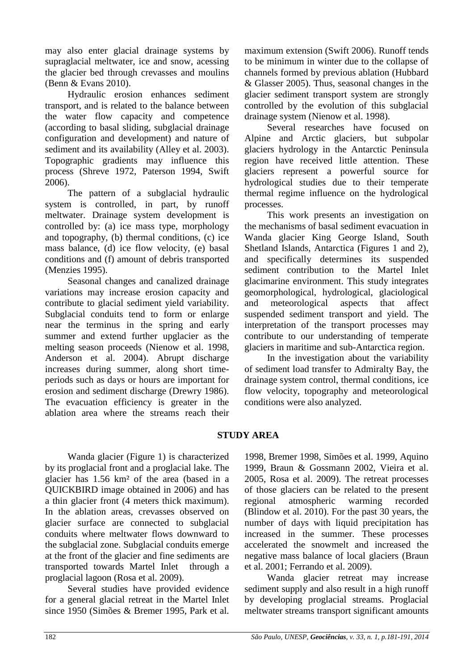may also enter glacial drainage systems by supraglacial meltwater, ice and snow, acessing the glacier bed through crevasses and moulins (Benn & Evans 2010).

Hydraulic erosion enhances sediment transport, and is related to the balance between the water flow capacity and competence (according to basal sliding, subglacial drainage configuration and development) and nature of sediment and its availability (Alley et al. 2003). Topographic gradients may influence this process (Shreve 1972, Paterson 1994, Swift 2006).

The pattern of a subglacial hydraulic system is controlled, in part, by runoff meltwater. Drainage system development is controlled by: (a) ice mass type, morphology and topography, (b) thermal conditions, (c) ice mass balance, (d) ice flow velocity, (e) basal conditions and (f) amount of debris transported (Menzies 1995).

Seasonal changes and canalized drainage variations may increase erosion capacity and contribute to glacial sediment yield variability. Subglacial conduits tend to form or enlarge near the terminus in the spring and early summer and extend further upglacier as the melting season proceeds (Nienow et al. 1998, Anderson et al. 2004). Abrupt discharge increases during summer, along short timeperiods such as days or hours are important for erosion and sediment discharge (Drewry 1986). The evacuation efficiency is greater in the ablation area where the streams reach their maximum extension (Swift 2006). Runoff tends to be minimum in winter due to the collapse of channels formed by previous ablation (Hubbard & Glasser 2005). Thus, seasonal changes in the glacier sediment transport system are strongly controlled by the evolution of this subglacial drainage system (Nienow et al. 1998).

Several researches have focused on Alpine and Arctic glaciers, but subpolar glaciers hydrology in the Antarctic Peninsula region have received little attention. These glaciers represent a powerful source for hydrological studies due to their temperate thermal regime influence on the hydrological processes.

This work presents an investigation on the mechanisms of basal sediment evacuation in Wanda glacier King George Island, South Shetland Islands, Antarctica (Figures 1 and 2), and specifically determines its suspended sediment contribution to the Martel Inlet glacimarine environment. This study integrates geomorphological, hydrological, glaciological and meteorological aspects that affect suspended sediment transport and yield. The interpretation of the transport processes may contribute to our understanding of temperate glaciers in maritime and sub-Antarctica region.

In the investigation about the variability of sediment load transfer to Admiralty Bay, the drainage system control, thermal conditions, ice flow velocity, topography and meteorological conditions were also analyzed.

## **STUDY AREA**

Wanda glacier (Figure 1) is characterized by its proglacial front and a proglacial lake. The glacier has 1.56 km² of the area (based in a QUICKBIRD image obtained in 2006) and has a thin glacier front (4 meters thick maximum). In the ablation areas, crevasses observed on glacier surface are connected to subglacial conduits where meltwater flows downward to the subglacial zone. Subglacial conduits emerge at the front of the glacier and fine sediments are transported towards Martel Inlet through a proglacial lagoon (Rosa et al. 2009).

Several studies have provided evidence for a general glacial retreat in the Martel Inlet since 1950 (Simões & Bremer 1995, Park et al.

1998, Bremer 1998, Simões et al. 1999, Aquino 1999, Braun & Gossmann 2002, Vieira et al. 2005, Rosa et al. 2009). The retreat processes of those glaciers can be related to the present regional atmospheric warming recorded (Blindow et al. 2010). For the past 30 years, the number of days with liquid precipitation has increased in the summer. These processes accelerated the snowmelt and increased the negative mass balance of local glaciers (Braun et al. 2001; Ferrando et al. 2009).

Wanda glacier retreat may increase sediment supply and also result in a high runoff by developing proglacial streams. Proglacial meltwater streams transport significant amounts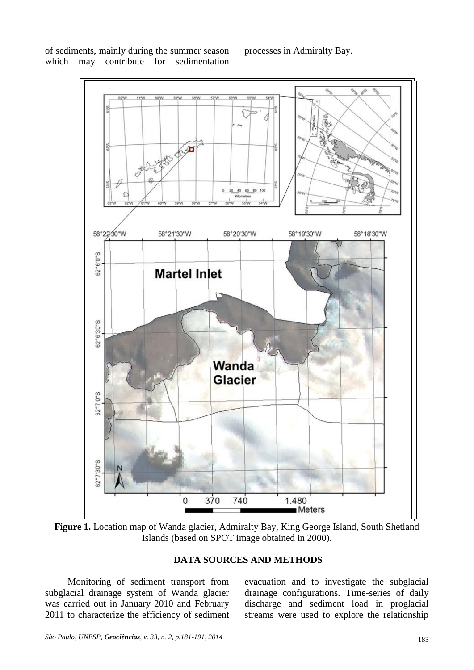of sediments, mainly during the summer season which may contribute for sedimentation

processes in Admiralty Bay.



**Figure 1.** Location map of Wanda glacier, Admiralty Bay, King George Island, South Shetland Islands (based on SPOT image obtained in 2000).

### **DATA SOURCES AND METHODS**

Monitoring of sediment transport from subglacial drainage system of Wanda glacier was carried out in January 2010 and February 2011 to characterize the efficiency of sediment evacuation and to investigate the subglacial drainage configurations. Time-series of daily discharge and sediment load in proglacial streams were used to explore the relationship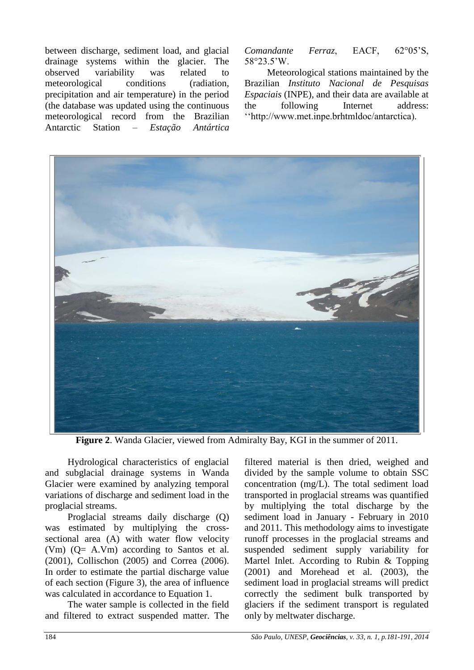between discharge, sediment load, and glacial drainage systems within the glacier. The observed variability was related to meteorological conditions (radiation, precipitation and air temperature) in the period (the database was updated using the continuous meteorological record from the Brazilian Antarctic Station – *Estação Antártica*  *Comandante Ferraz*, EACF, 62°05'S, 58°23.5'W.

Meteorological stations maintained by the Brazilian *Instituto Nacional de Pesquisas Espaciais* (INPE), and their data are available at the following Internet address: ''http://www.met.inpe.brhtmldoc/antarctica).



**Figure 2**. Wanda Glacier, viewed from Admiralty Bay, KGI in the summer of 2011.

Hydrological characteristics of englacial and subglacial drainage systems in Wanda Glacier were examined by analyzing temporal variations of discharge and sediment load in the proglacial streams.

Proglacial streams daily discharge (Q) was estimated by multiplying the crosssectional area (A) with water flow velocity (Vm) (Q= A.Vm) according to Santos et al. (2001), Collischon (2005) and Correa (2006). In order to estimate the partial discharge value of each section (Figure 3), the area of influence was calculated in accordance to Equation 1.

The water sample is collected in the field and filtered to extract suspended matter. The

filtered material is then dried, weighed and divided by the sample volume to obtain SSC concentration (mg/L). The total sediment load transported in proglacial streams was quantified by multiplying the total discharge by the sediment load in January - February in 2010 and 2011. This methodology aims to investigate runoff processes in the proglacial streams and suspended sediment supply variability for Martel Inlet. According to Rubin & Topping (2001) and Morehead et al. (2003), the sediment load in proglacial streams will predict correctly the sediment bulk transported by glaciers if the sediment transport is regulated only by meltwater discharge.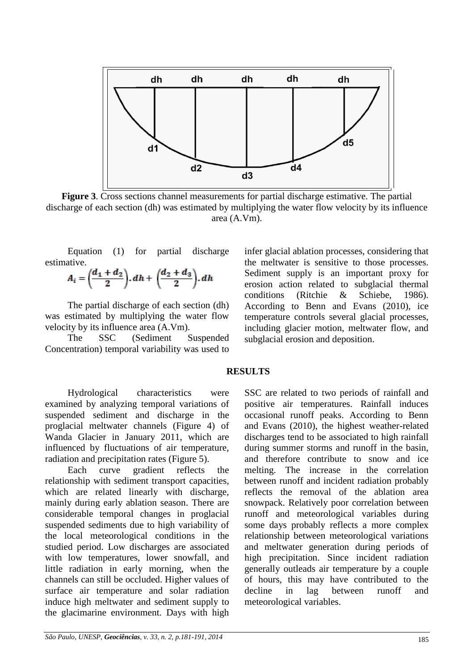

**Figure 3**. Cross sections channel measurements for partial discharge estimative. The partial discharge of each section (dh) was estimated by multiplying the water flow velocity by its influence area (A.Vm).

Equation (1) for partial discharge estimative.

$$
A_i = \left(\frac{d_1+d_2}{2}\right).dh + \left(\frac{d_2+d_3}{2}\right).dh
$$

The partial discharge of each section (dh) was estimated by multiplying the water flow velocity by its influence area (A.Vm).

The SSC (Sediment Suspended Concentration) temporal variability was used to infer glacial ablation processes, considering that the meltwater is sensitive to those processes. Sediment supply is an important proxy for erosion action related to subglacial thermal conditions (Ritchie & Schiebe, 1986). According to Benn and Evans (2010), ice temperature controls several glacial processes, including glacier motion, meltwater flow, and subglacial erosion and deposition.

#### **RESULTS**

Hydrological characteristics were examined by analyzing temporal variations of suspended sediment and discharge in the proglacial meltwater channels (Figure 4) of Wanda Glacier in January 2011, which are influenced by fluctuations of air temperature, radiation and precipitation rates (Figure 5).

Each curve gradient reflects the relationship with sediment transport capacities, which are related linearly with discharge, mainly during early ablation season. There are considerable temporal changes in proglacial suspended sediments due to high variability of the local meteorological conditions in the studied period. Low discharges are associated with low temperatures, lower snowfall, and little radiation in early morning, when the channels can still be occluded. Higher values of surface air temperature and solar radiation induce high meltwater and sediment supply to the glacimarine environment. Days with high

SSC are related to two periods of rainfall and positive air temperatures. Rainfall induces occasional runoff peaks. According to Benn and Evans (2010), the highest weather-related discharges tend to be associated to high rainfall during summer storms and runoff in the basin, and therefore contribute to snow and ice melting. The increase in the correlation between runoff and incident radiation probably reflects the removal of the ablation area snowpack. Relatively poor correlation between runoff and meteorological variables during some days probably reflects a more complex relationship between meteorological variations and meltwater generation during periods of high precipitation. Since incident radiation generally outleads air temperature by a couple of hours, this may have contributed to the decline in lag between runoff and meteorological variables.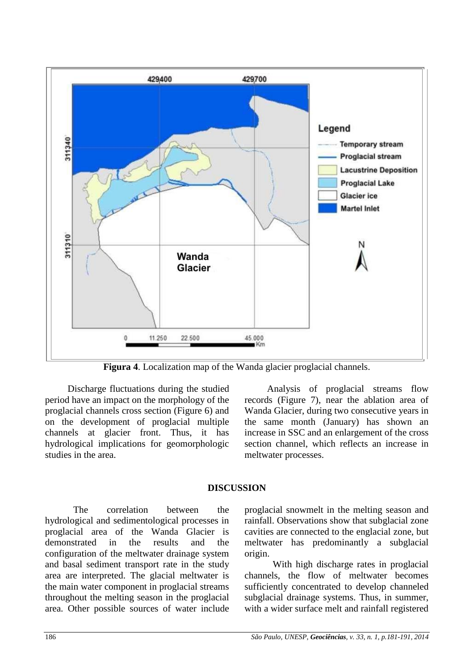

**Figura 4**. Localization map of the Wanda glacier proglacial channels.

Discharge fluctuations during the studied period have an impact on the morphology of the proglacial channels cross section (Figure 6) and on the development of proglacial multiple channels at glacier front. Thus, it has hydrological implications for geomorphologic studies in the area.

Analysis of proglacial streams flow records (Figure 7), near the ablation area of Wanda Glacier, during two consecutive years in the same month (January) has shown an increase in SSC and an enlargement of the cross section channel, which reflects an increase in meltwater processes.

### **DISCUSSION**

The correlation between the hydrological and sedimentological processes in proglacial area of the Wanda Glacier is demonstrated in the results and the configuration of the meltwater drainage system and basal sediment transport rate in the study area are interpreted. The glacial meltwater is the main water component in proglacial streams throughout the melting season in the proglacial area. Other possible sources of water include

proglacial snowmelt in the melting season and rainfall. Observations show that subglacial zone cavities are connected to the englacial zone, but meltwater has predominantly a subglacial origin.

With high discharge rates in proglacial channels, the flow of meltwater becomes sufficiently concentrated to develop channeled subglacial drainage systems. Thus, in summer, with a wider surface melt and rainfall registered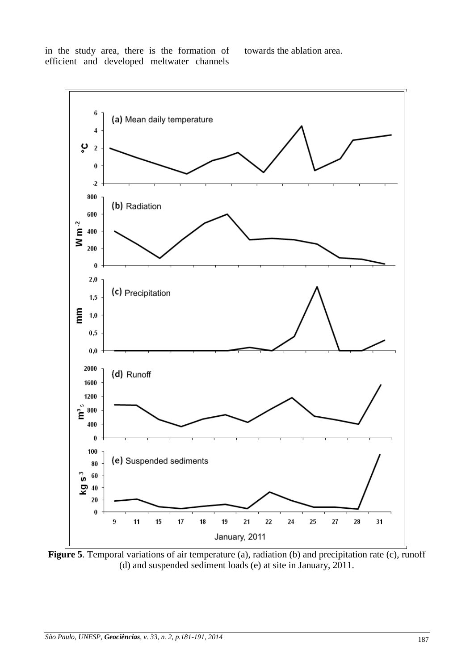in the study area, there is the formation of efficient and developed meltwater channels

towards the ablation area.



**Figure 5**. Temporal variations of air temperature (a), radiation (b) and precipitation rate (c), runoff (d) and suspended sediment loads (e) at site in January, 2011.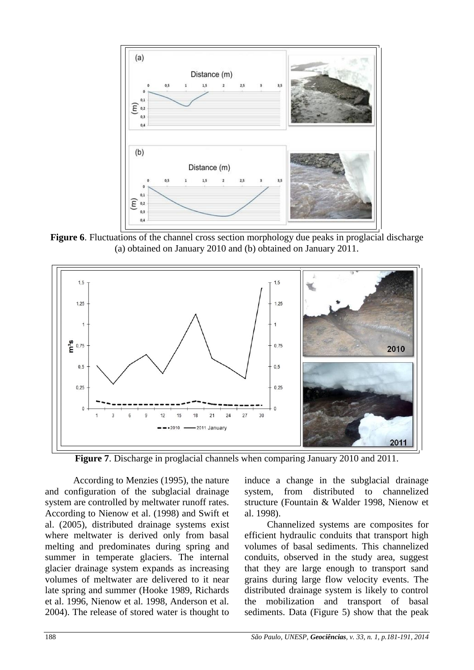

**Figure 6**. Fluctuations of the channel cross section morphology due peaks in proglacial discharge (a) obtained on January 2010 and (b) obtained on January 2011.



**Figure 7**. Discharge in proglacial channels when comparing January 2010 and 2011.

According to Menzies (1995), the nature and configuration of the subglacial drainage system are controlled by meltwater runoff rates. According to Nienow et al. (1998) and Swift et al. (2005), distributed drainage systems exist where meltwater is derived only from basal melting and predominates during spring and summer in temperate glaciers. The internal glacier drainage system expands as increasing volumes of meltwater are delivered to it near late spring and summer (Hooke 1989, Richards et al. 1996, Nienow et al. 1998, Anderson et al. 2004). The release of stored water is thought to

induce a change in the subglacial drainage system, from distributed to channelized structure (Fountain & Walder 1998, Nienow et al. 1998).

Channelized systems are composites for efficient hydraulic conduits that transport high volumes of basal sediments. This channelized conduits, observed in the study area, suggest that they are large enough to transport sand grains during large flow velocity events. The distributed drainage system is likely to control the mobilization and transport of basal sediments. Data (Figure 5) show that the peak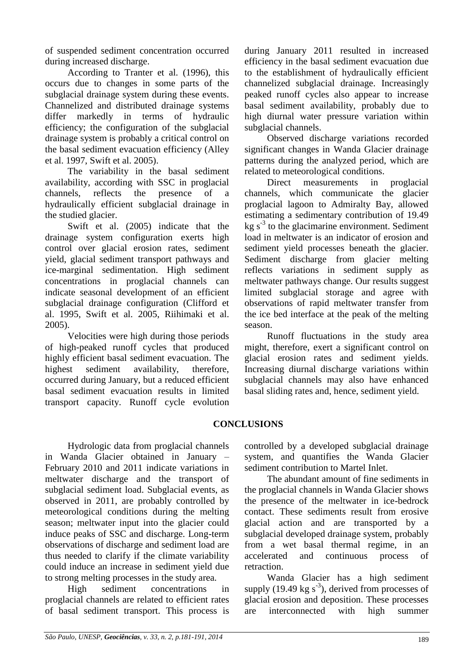of suspended sediment concentration occurred during increased discharge.

According to Tranter et al. (1996), this occurs due to changes in some parts of the subglacial drainage system during these events. Channelized and distributed drainage systems differ markedly in terms of hydraulic efficiency; the configuration of the subglacial drainage system is probably a critical control on the basal sediment evacuation efficiency (Alley et al. 1997, Swift et al. 2005).

The variability in the basal sediment availability, according with SSC in proglacial channels, reflects the presence of a hydraulically efficient subglacial drainage in the studied glacier.

Swift et al. (2005) indicate that the drainage system configuration exerts high control over glacial erosion rates, sediment yield, glacial sediment transport pathways and ice-marginal sedimentation. High sediment concentrations in proglacial channels can indicate seasonal development of an efficient subglacial drainage configuration (Clifford et al. 1995, Swift et al. 2005, Riihimaki et al. 2005).

Velocities were high during those periods of high-peaked runoff cycles that produced highly efficient basal sediment evacuation. The highest sediment availability, therefore, occurred during January, but a reduced efficient basal sediment evacuation results in limited transport capacity. Runoff cycle evolution during January 2011 resulted in increased efficiency in the basal sediment evacuation due to the establishment of hydraulically efficient channelized subglacial drainage. Increasingly peaked runoff cycles also appear to increase basal sediment availability, probably due to high diurnal water pressure variation within subglacial channels.

Observed discharge variations recorded significant changes in Wanda Glacier drainage patterns during the analyzed period, which are related to meteorological conditions.

Direct measurements in proglacial channels, which communicate the glacier proglacial lagoon to Admiralty Bay, allowed estimating a sedimentary contribution of 19.49  $kg s<sup>-3</sup>$  to the glacimarine environment. Sediment load in meltwater is an indicator of erosion and sediment yield processes beneath the glacier. Sediment discharge from glacier melting reflects variations in sediment supply as meltwater pathways change. Our results suggest limited subglacial storage and agree with observations of rapid meltwater transfer from the ice bed interface at the peak of the melting season.

Runoff fluctuations in the study area might, therefore, exert a significant control on glacial erosion rates and sediment yields. Increasing diurnal discharge variations within subglacial channels may also have enhanced basal sliding rates and, hence, sediment yield.

### **CONCLUSIONS**

Hydrologic data from proglacial channels in Wanda Glacier obtained in January – February 2010 and 2011 indicate variations in meltwater discharge and the transport of subglacial sediment load. Subglacial events, as observed in 2011, are probably controlled by meteorological conditions during the melting season; meltwater input into the glacier could induce peaks of SSC and discharge. Long-term observations of discharge and sediment load are thus needed to clarify if the climate variability could induce an increase in sediment yield due to strong melting processes in the study area.

High sediment concentrations in proglacial channels are related to efficient rates of basal sediment transport. This process is

controlled by a developed subglacial drainage system, and quantifies the Wanda Glacier sediment contribution to Martel Inlet.

The abundant amount of fine sediments in the proglacial channels in Wanda Glacier shows the presence of the meltwater in ice-bedrock contact. These sediments result from erosive glacial action and are transported by a subglacial developed drainage system, probably from a wet basal thermal regime, in an accelerated and continuous process of retraction.

Wanda Glacier has a high sediment supply (19.49 kg  $s^{-3}$ ), derived from processes of glacial erosion and deposition. These processes are interconnected with high summer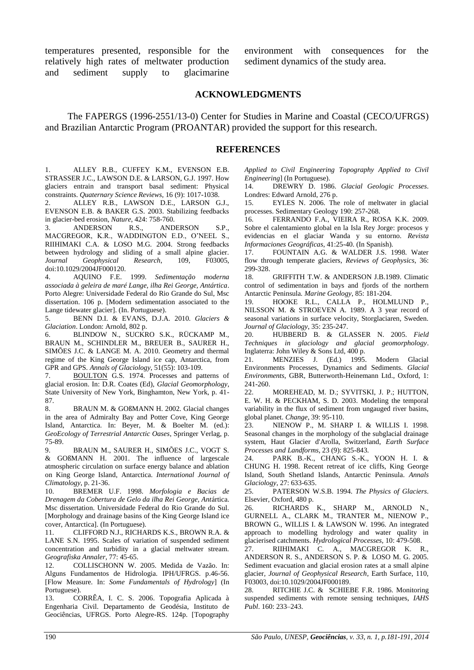temperatures presented, responsible for the relatively high rates of meltwater production and sediment supply to glacimarine

environment with consequences for the sediment dynamics of the study area.

#### **ACKNOWLEDGMENTS**

The FAPERGS (1996-2551/13-0) Center for Studies in Marine and Coastal (CECO/UFRGS) and Brazilian Antarctic Program (PROANTAR) provided the support for this research.

#### **REFERENCES**

1. ALLEY R.B., CUFFEY K.M., EVENSON E.B. STRASSER J.C., LAWSON D.E. & LARSON, G.J. 1997. How glaciers entrain and transport basal sediment: Physical constraints. *Quaternary Science Reviews*, 16 (9): 1017-1038.

2. ALLEY R.B., LAWSON D.E., LARSON G.J., EVENSON E.B. & BAKER G.S. 2003. Stabilizing feedbacks in glacier-bed erosion, *Nature*, 424: 758-760.

3. ANDERSON R.S., ANDERSON S.P., MACGREGOR, K.R., WADDINGTON E.D., O'NEEL S., RIIHIMAKI C.A. & LOSO M.G. 2004. Strong feedbacks between hydrology and sliding of a small alpine glacier. *Journal Geophysical Research*, 109, F03005, doi:10.1029/2004JF000120.

4. AQUINO F.E. 1999. *Sedimentação moderna associada à geleira de maré Lange, ilha Rei George, Antártica*. Porto Alegre: Universidade Federal do Rio Grande do Sul, Msc dissertation. 106 p. [Modern sedimentation associated to the Lange tidewater glacier]. (In. Portuguese).

5. BENN D.I. & EVANS, D.J.A. 2010. *Glaciers & Glaciation*. London: Arnold, 802 p.

6. BLINDOW N., SUCKRO S.K., RÜCKAMP M., BRAUN M., SCHINDLER M., BREUER B., SAURER H., SIMÕES J.C. & LANGE M. A. 2010. Geometry and thermal regime of the King George Island ice cap, Antarctica, from GPR and GPS. *Annals [of Glaciology](http://www.ingentaconnect.com/content/igsoc/agl)*, 51(55): 103-109.

7. [BOULTON](http://www.sciencedirect.com/science?_ob=ArticleURL&_udi=B6VBC-4GSTPM3-1&_user=687304&_rdoc=1&_fmt=&_orig=search&_sort=d&_docanchor=&view=c&_searchStrId=1163511520&_rerunOrigin=google&_acct=C000037798&_version=1&_urlVersion=0&_userid=687304&md5=28cd64d4b443f95c35f9958f9fa2423b#bbib8) G.S. 1974. Processes and patterns of glacial erosion. In: D.R. Coates (Ed), *Glacial Geomorphology*, State University of New York, Binghamton, New York, p. 41- 87.

8. BRAUN M. & GOßMANN H. 2002. Glacial changes in the area of Admiralty Bay and Potter Cove, King George Island, Antarctica. In: Beyer, M. & Boelter M. (ed.): *GeoEcology of Terrestrial Antarctic Oases*, Springer Verlag, p. 75-89.

9. BRAUN M., SAURER H., SIMÕES J.C., VOGT S. & GOßMANN H. 2001. The influence of largescale atmospheric circulation on surface energy balance and ablation on King George Island, Antarctica. *International Journal of Climatology*, p. 21-36.

10. BREMER U.F. 1998. *Morfologia e Bacias de Drenagem da Cobertura de Gelo da ilha Rei George, Ant*ártica. Msc dissertation. Universidade Federal do Rio Grande do Sul. [Morphology and drainage basins of the King George Island ice cover, Antarctica]. (In Portuguese).

11. CLIFFORD N.J., RICHARDS K.S., BROWN R.A. & LANE S.N. 1995. Scales of variation of suspended sediment concentration and turbidity in a glacial meltwater stream. *Geografiska Annaler*, 77: 45-65.

12. COLLISCHONN W. 2005. Medida de Vazão. In: Alguns Fundamentos de Hidrologia. IPH/UFRGS. p.46-56. [Flow Measure. In: *Some Fundamentals of Hydrology*] (In Portuguese).

13. CORRÊA, I. C. S. 2006. Topografia Aplicada à Engenharia Civil. Departamento de Geodésia, Instituto de Geociências, UFRGS. Porto Alegre-RS. 124p. [Topography

*Applied to Civil Engineering Topography Applied to Civil Engineering*] (In Portuguese).

14. DREWRY D. 1986. *Glacial Geologic Processes*. Londres: Edward Arnold, 276 p.

15. EYLES N. 2006. The role of meltwater in glacial processes. Sedimentary Geology 190: 257-268.

16. FERRANDO F.A., VIEIRA R., ROSA K.K. 2009. Sobre el calentamiento global en la Isla Rey Jorge: procesos y evidencias en el glaciar Wanda y su entorno. *Revista Informaciones Geográficas*, 41:25-40. (In Spanish).

17. FOUNTAIN A.G. & WALDER J.S. 1998. Water flow through temperate glaciers, *Reviews of Geophysics*, 36: 299-328.

18. GRIFFITH T.W. & ANDERSON J.B.1989. Climatic control of sedimentation in bays and fjords of the northern Antarctic Peninsula*. Marine Geology*, 85: 181-204.

19. HOOKE R.L., CALLA P., HOLMLUND P., NILSSON M. & STROEVEN A. 1989. A 3 year record of seasonal variations in surface velocity, Storglaciaren, Sweden. *Journal of Glaciology*, 35: 235-247.

20. HUBBERD B. & GLASSER N. 2005. *Field Techniques in glaciology and glacial geomorphology*. Inglaterra: John Wiley & Sons Ltd, 400 p.

21. MENZIES J. (Ed.) 1995. Modern Glacial Environments Processes, Dynamics and Sediments. *Glacial Environments*, GBR, Butterworth-Heinemann Ltd., Oxford, 1: 241-260.

22. MOREHEAD, M. D.; SYVITSKI, J. P.; HUTTON, E. W. H. & PECKHAM, S. D. 2003. Modeling the temporal variability in the flux of sediment from ungauged river basins, global planet. *Change*, 39: 95-110.

23. NIENOW P., M. SHARP I. & WILLIS I. 1998. Seasonal changes in the morphology of the subglacial drainage system, Haut Glacier d'Arolla, Switzerland, *Earth Surface Processes and Landforms*, 23 (9): 825-843.

24. PARK B.-K., CHANG S.-K., YOON H. I. & CHUNG H. 1998. Recent retreat of ice cliffs, King George Island, South Shetland Islands, Antarctic Peninsula. *Annals Glaciology*, 27: 633-635.

25. PATERSON W.S.B. 1994. *The Physics of Glaciers*. Elsevier, Oxford, 480 p.

26. RICHARDS K., SHARP M., ARNOLD N., GURNELL A., CLARK M., TRANTER M., NIENOW P., BROWN G., WILLIS I. & LAWSON W. 1996. An integrated approach to modelling hydrology and water quality in glacierised catchments. *Hydrological Processes*, 10: 479-508.

27. RIIHIMAKI C. A., MACGREGOR K. R., ANDERSON R. S., ANDERSON S. P. & LOSO M. G. 2005. Sediment evacuation and glacial erosion rates at a small alpine glacier*, Journal of Geophysical Research*, Earth Surface, 110, F03003, doi:10.1029/2004JF000189.

28. RITCHIE J.C. & SCHIEBE F.R. 1986. Monitoring suspended sediments with remote sensing techniques, *IAHS Publ*. 160: 233–243.